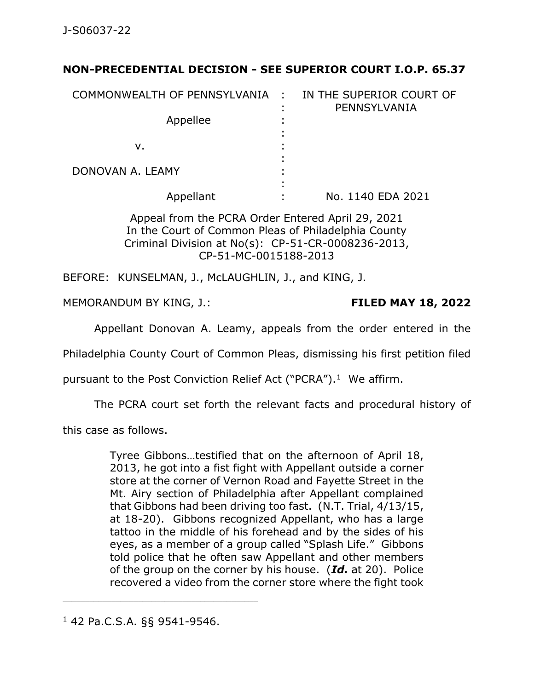## **NON-PRECEDENTIAL DECISION - SEE SUPERIOR COURT I.O.P. 65.37**

| COMMONWEALTH OF PENNSYLVANIA : |        | IN THE SUPERIOR COURT OF<br>PENNSYLVANIA |
|--------------------------------|--------|------------------------------------------|
| Appellee                       | ٠      |                                          |
| ν.                             | ٠<br>٠ |                                          |
| DONOVAN A. LEAMY               | ٠<br>٠ |                                          |
| Appellant                      | ٠      | No. 1140 EDA 2021                        |

Appeal from the PCRA Order Entered April 29, 2021 In the Court of Common Pleas of Philadelphia County Criminal Division at No(s): CP-51-CR-0008236-2013, CP-51-MC-0015188-2013

BEFORE: KUNSELMAN, J., McLAUGHLIN, J., and KING, J.

MEMORANDUM BY KING, J.: **FILED MAY 18, 2022**

Appellant Donovan A. Leamy, appeals from the order entered in the

Philadelphia County Court of Common Pleas, dismissing his first petition filed

pursuant to the Post Conviction Relief Act ("PCRA").<sup>1</sup> We affirm.

The PCRA court set forth the relevant facts and procedural history of

this case as follows.

Tyree Gibbons…testified that on the afternoon of April 18, 2013, he got into a fist fight with Appellant outside a corner store at the corner of Vernon Road and Fayette Street in the Mt. Airy section of Philadelphia after Appellant complained that Gibbons had been driving too fast. (N.T. Trial, 4/13/15, at 18-20). Gibbons recognized Appellant, who has a large tattoo in the middle of his forehead and by the sides of his eyes, as a member of a group called "Splash Life." Gibbons told police that he often saw Appellant and other members of the group on the corner by his house. (*Id.* at 20). Police recovered a video from the corner store where the fight took

<sup>1</sup> 42 Pa.C.S.A. §§ 9541-9546.

\_\_\_\_\_\_\_\_\_\_\_\_\_\_\_\_\_\_\_\_\_\_\_\_\_\_\_\_\_\_\_\_\_\_\_\_\_\_\_\_\_\_\_\_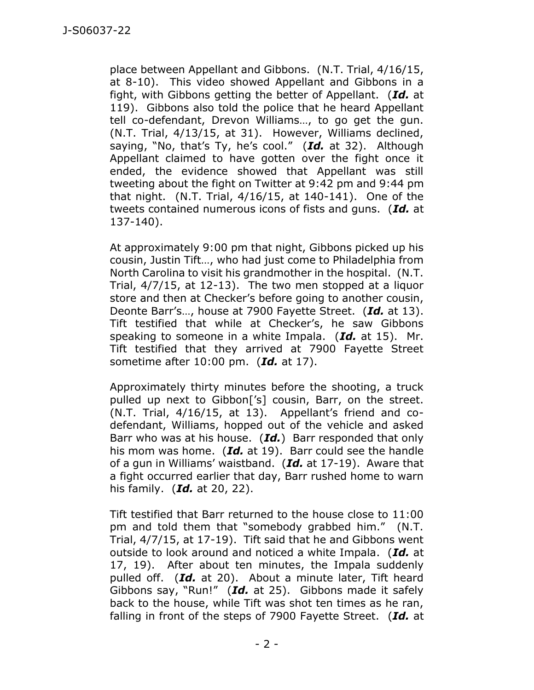place between Appellant and Gibbons. (N.T. Trial, 4/16/15, at 8-10). This video showed Appellant and Gibbons in a fight, with Gibbons getting the better of Appellant. (*Id.* at 119). Gibbons also told the police that he heard Appellant tell co-defendant, Drevon Williams…, to go get the gun. (N.T. Trial, 4/13/15, at 31). However, Williams declined, saying, "No, that's Ty, he's cool." (*Id.* at 32). Although Appellant claimed to have gotten over the fight once it ended, the evidence showed that Appellant was still tweeting about the fight on Twitter at 9:42 pm and 9:44 pm that night. (N.T. Trial, 4/16/15, at 140-141). One of the tweets contained numerous icons of fists and guns. (*Id.* at 137-140).

At approximately 9:00 pm that night, Gibbons picked up his cousin, Justin Tift…, who had just come to Philadelphia from North Carolina to visit his grandmother in the hospital. (N.T. Trial, 4/7/15, at 12-13). The two men stopped at a liquor store and then at Checker's before going to another cousin, Deonte Barr's…, house at 7900 Fayette Street. (*Id.* at 13). Tift testified that while at Checker's, he saw Gibbons speaking to someone in a white Impala. (*Id.* at 15). Mr. Tift testified that they arrived at 7900 Fayette Street sometime after 10:00 pm. (*Id.* at 17).

Approximately thirty minutes before the shooting, a truck pulled up next to Gibbon['s] cousin, Barr, on the street. (N.T. Trial, 4/16/15, at 13). Appellant's friend and codefendant, Williams, hopped out of the vehicle and asked Barr who was at his house. (*Id.*) Barr responded that only his mom was home. (*Id.* at 19). Barr could see the handle of a gun in Williams' waistband. (*Id.* at 17-19). Aware that a fight occurred earlier that day, Barr rushed home to warn his family. (*Id.* at 20, 22).

Tift testified that Barr returned to the house close to 11:00 pm and told them that "somebody grabbed him." (N.T. Trial, 4/7/15, at 17-19). Tift said that he and Gibbons went outside to look around and noticed a white Impala. (*Id.* at 17, 19). After about ten minutes, the Impala suddenly pulled off. (*Id.* at 20). About a minute later, Tift heard Gibbons say, "Run!" (*Id.* at 25). Gibbons made it safely back to the house, while Tift was shot ten times as he ran, falling in front of the steps of 7900 Fayette Street. (*Id.* at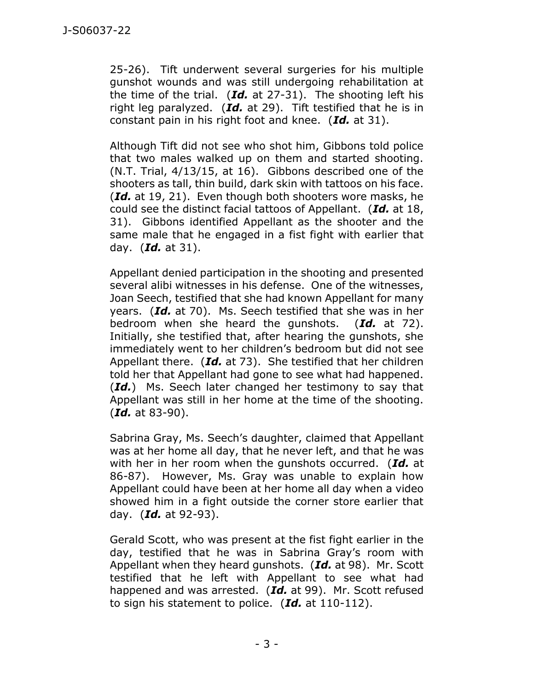25-26). Tift underwent several surgeries for his multiple gunshot wounds and was still undergoing rehabilitation at the time of the trial. (*Id.* at 27-31). The shooting left his right leg paralyzed. (*Id.* at 29). Tift testified that he is in constant pain in his right foot and knee. (*Id.* at 31).

Although Tift did not see who shot him, Gibbons told police that two males walked up on them and started shooting. (N.T. Trial, 4/13/15, at 16). Gibbons described one of the shooters as tall, thin build, dark skin with tattoos on his face. (*Id.* at 19, 21). Even though both shooters wore masks, he could see the distinct facial tattoos of Appellant. (*Id.* at 18, 31). Gibbons identified Appellant as the shooter and the same male that he engaged in a fist fight with earlier that day. (*Id.* at 31).

Appellant denied participation in the shooting and presented several alibi witnesses in his defense. One of the witnesses, Joan Seech, testified that she had known Appellant for many years. (*Id.* at 70). Ms. Seech testified that she was in her bedroom when she heard the gunshots. (*Id.* at 72). Initially, she testified that, after hearing the gunshots, she immediately went to her children's bedroom but did not see Appellant there. (*Id.* at 73). She testified that her children told her that Appellant had gone to see what had happened. (*Id.*) Ms. Seech later changed her testimony to say that Appellant was still in her home at the time of the shooting. (*Id.* at 83-90).

Sabrina Gray, Ms. Seech's daughter, claimed that Appellant was at her home all day, that he never left, and that he was with her in her room when the gunshots occurred. (*Id.* at 86-87). However, Ms. Gray was unable to explain how Appellant could have been at her home all day when a video showed him in a fight outside the corner store earlier that day. (*Id.* at 92-93).

Gerald Scott, who was present at the fist fight earlier in the day, testified that he was in Sabrina Gray's room with Appellant when they heard gunshots. (*Id.* at 98). Mr. Scott testified that he left with Appellant to see what had happened and was arrested. (*Id.* at 99). Mr. Scott refused to sign his statement to police. (*Id.* at 110-112).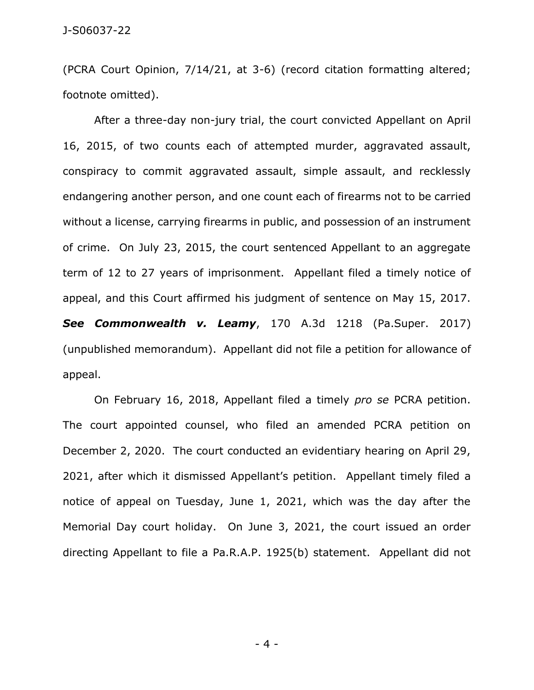(PCRA Court Opinion, 7/14/21, at 3-6) (record citation formatting altered; footnote omitted).

After a three-day non-jury trial, the court convicted Appellant on April 16, 2015, of two counts each of attempted murder, aggravated assault, conspiracy to commit aggravated assault, simple assault, and recklessly endangering another person, and one count each of firearms not to be carried without a license, carrying firearms in public, and possession of an instrument of crime. On July 23, 2015, the court sentenced Appellant to an aggregate term of 12 to 27 years of imprisonment. Appellant filed a timely notice of appeal, and this Court affirmed his judgment of sentence on May 15, 2017. *See Commonwealth v. Leamy*, 170 A.3d 1218 (Pa.Super. 2017) (unpublished memorandum). Appellant did not file a petition for allowance of appeal.

On February 16, 2018, Appellant filed a timely *pro se* PCRA petition. The court appointed counsel, who filed an amended PCRA petition on December 2, 2020. The court conducted an evidentiary hearing on April 29, 2021, after which it dismissed Appellant's petition. Appellant timely filed a notice of appeal on Tuesday, June 1, 2021, which was the day after the Memorial Day court holiday. On June 3, 2021, the court issued an order directing Appellant to file a Pa.R.A.P. 1925(b) statement. Appellant did not

- 4 -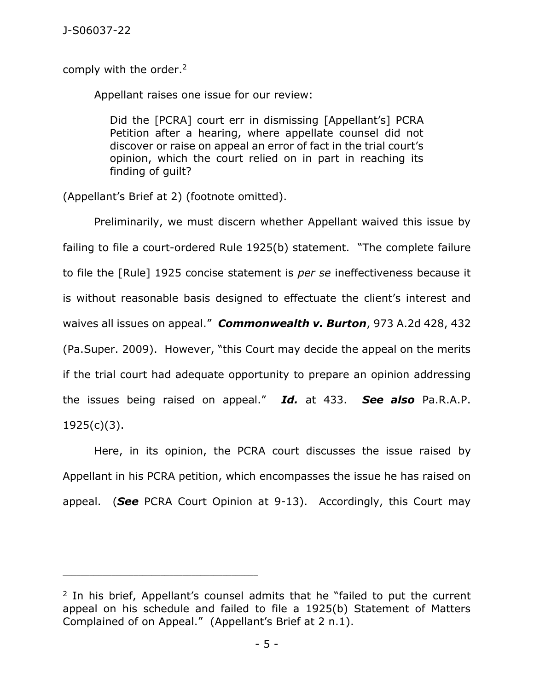comply with the order.<sup>2</sup>

Appellant raises one issue for our review:

Did the [PCRA] court err in dismissing [Appellant's] PCRA Petition after a hearing, where appellate counsel did not discover or raise on appeal an error of fact in the trial court's opinion, which the court relied on in part in reaching its finding of guilt?

(Appellant's Brief at 2) (footnote omitted).

\_\_\_\_\_\_\_\_\_\_\_\_\_\_\_\_\_\_\_\_\_\_\_\_\_\_\_\_\_\_\_\_\_\_\_\_\_\_\_\_\_\_\_\_

Preliminarily, we must discern whether Appellant waived this issue by failing to file a court-ordered Rule 1925(b) statement. "The complete failure to file the [Rule] 1925 concise statement is *per se* ineffectiveness because it is without reasonable basis designed to effectuate the client's interest and waives all issues on appeal." *Commonwealth v. Burton*, 973 A.2d 428, 432 (Pa.Super. 2009). However, "this Court may decide the appeal on the merits if the trial court had adequate opportunity to prepare an opinion addressing the issues being raised on appeal." *Id.* at 433. *See also* Pa.R.A.P. 1925(c)(3).

Here, in its opinion, the PCRA court discusses the issue raised by Appellant in his PCRA petition, which encompasses the issue he has raised on appeal. (*See* PCRA Court Opinion at 9-13). Accordingly, this Court may

<sup>&</sup>lt;sup>2</sup> In his brief, Appellant's counsel admits that he "failed to put the current appeal on his schedule and failed to file a 1925(b) Statement of Matters Complained of on Appeal." (Appellant's Brief at 2 n.1).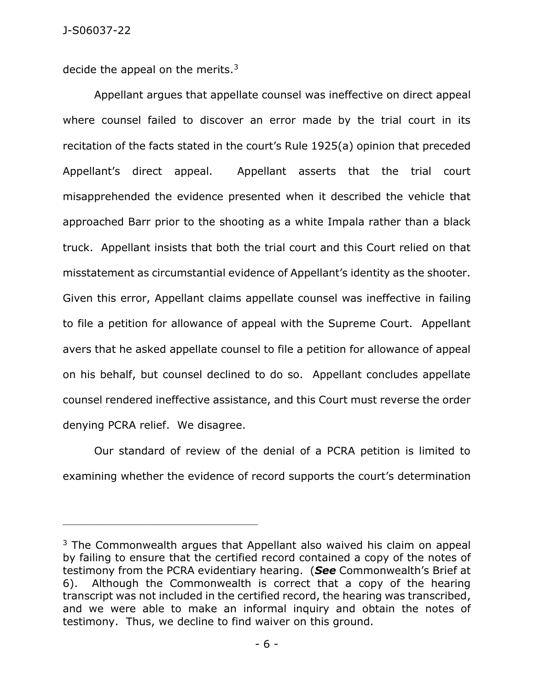decide the appeal on the merits.<sup>3</sup>

\_\_\_\_\_\_\_\_\_\_\_\_\_\_\_\_\_\_\_\_\_\_\_\_\_\_\_\_\_\_\_\_\_\_\_\_\_\_\_\_\_\_\_\_

Appellant argues that appellate counsel was ineffective on direct appeal where counsel failed to discover an error made by the trial court in its recitation of the facts stated in the court's Rule 1925(a) opinion that preceded Appellant's direct appeal. Appellant asserts that the trial court misapprehended the evidence presented when it described the vehicle that approached Barr prior to the shooting as a white Impala rather than a black truck. Appellant insists that both the trial court and this Court relied on that misstatement as circumstantial evidence of Appellant's identity as the shooter. Given this error, Appellant claims appellate counsel was ineffective in failing to file a petition for allowance of appeal with the Supreme Court. Appellant avers that he asked appellate counsel to file a petition for allowance of appeal on his behalf, but counsel declined to do so. Appellant concludes appellate counsel rendered ineffective assistance, and this Court must reverse the order denying PCRA relief. We disagree.

Our standard of review of the denial of a PCRA petition is limited to examining whether the evidence of record supports the court's determination

<sup>&</sup>lt;sup>3</sup> The Commonwealth argues that Appellant also waived his claim on appeal by failing to ensure that the certified record contained a copy of the notes of testimony from the PCRA evidentiary hearing. (*See* Commonwealth's Brief at 6). Although the Commonwealth is correct that a copy of the hearing transcript was not included in the certified record, the hearing was transcribed, and we were able to make an informal inquiry and obtain the notes of testimony. Thus, we decline to find waiver on this ground.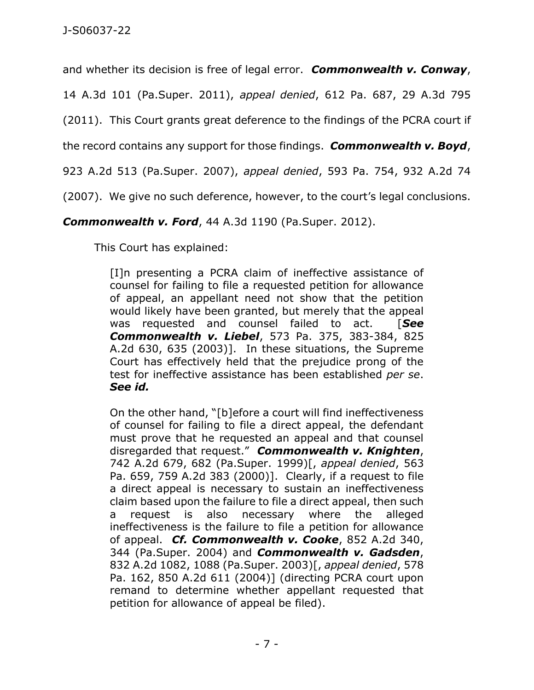and whether its decision is free of legal error. *Commonwealth v. Conway*,

14 A.3d 101 (Pa.Super. 2011), *appeal denied*, 612 Pa. 687, 29 A.3d 795

(2011). This Court grants great deference to the findings of the PCRA court if

the record contains any support for those findings. *Commonwealth v. Boyd*,

923 A.2d 513 (Pa.Super. 2007), *appeal denied*, 593 Pa. 754, 932 A.2d 74

(2007). We give no such deference, however, to the court's legal conclusions.

*Commonwealth v. Ford*, 44 A.3d 1190 (Pa.Super. 2012).

This Court has explained:

[I]n presenting a PCRA claim of ineffective assistance of counsel for failing to file a requested petition for allowance of appeal, an appellant need not show that the petition would likely have been granted, but merely that the appeal was requested and counsel failed to act. [*See Commonwealth v. Liebel*, 573 Pa. 375, 383-384, 825 A.2d 630, 635 (2003)]. In these situations, the Supreme Court has effectively held that the prejudice prong of the test for ineffective assistance has been established *per se*. *See id.*

On the other hand, "[b]efore a court will find ineffectiveness of counsel for failing to file a direct appeal, the defendant must prove that he requested an appeal and that counsel disregarded that request." *Commonwealth v. Knighten*, 742 A.2d 679, 682 (Pa.Super. 1999)[, *appeal denied*, 563 Pa. 659, 759 A.2d 383 (2000)]. Clearly, if a request to file a direct appeal is necessary to sustain an ineffectiveness claim based upon the failure to file a direct appeal, then such a request is also necessary where the alleged ineffectiveness is the failure to file a petition for allowance of appeal. *Cf. Commonwealth v. Cooke*, 852 A.2d 340, 344 (Pa.Super. 2004) and *Commonwealth v. Gadsden*, 832 A.2d 1082, 1088 (Pa.Super. 2003)[, *appeal denied*, 578 Pa. 162, 850 A.2d 611 (2004)] (directing PCRA court upon remand to determine whether appellant requested that petition for allowance of appeal be filed).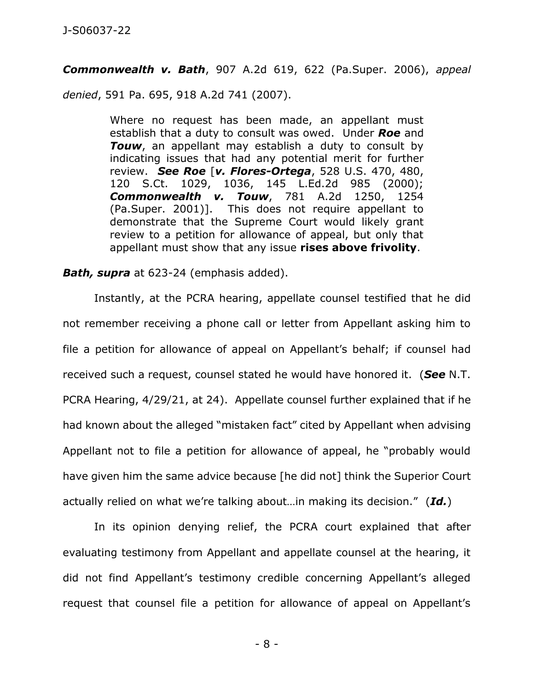*Commonwealth v. Bath*, 907 A.2d 619, 622 (Pa.Super. 2006), *appeal* 

*denied*, 591 Pa. 695, 918 A.2d 741 (2007).

Where no request has been made, an appellant must establish that a duty to consult was owed. Under *Roe* and **Touw**, an appellant may establish a duty to consult by indicating issues that had any potential merit for further review. *See Roe* [*v. Flores-Ortega*, 528 U.S. 470, 480, 120 S.Ct. 1029, 1036, 145 L.Ed.2d 985 (2000); *Commonwealth v. Touw*, 781 A.2d 1250, 1254 (Pa.Super. 2001)]. This does not require appellant to demonstrate that the Supreme Court would likely grant review to a petition for allowance of appeal, but only that appellant must show that any issue **rises above frivolity**.

## *Bath, supra* at 623-24 (emphasis added).

Instantly, at the PCRA hearing, appellate counsel testified that he did not remember receiving a phone call or letter from Appellant asking him to file a petition for allowance of appeal on Appellant's behalf; if counsel had received such a request, counsel stated he would have honored it. (*See* N.T. PCRA Hearing, 4/29/21, at 24). Appellate counsel further explained that if he had known about the alleged "mistaken fact" cited by Appellant when advising Appellant not to file a petition for allowance of appeal, he "probably would have given him the same advice because [he did not] think the Superior Court actually relied on what we're talking about…in making its decision." (*Id.*)

In its opinion denying relief, the PCRA court explained that after evaluating testimony from Appellant and appellate counsel at the hearing, it did not find Appellant's testimony credible concerning Appellant's alleged request that counsel file a petition for allowance of appeal on Appellant's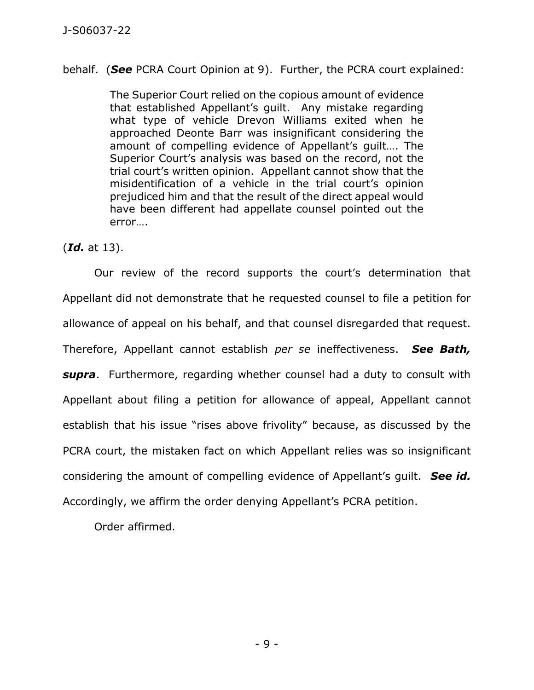behalf. (*See* PCRA Court Opinion at 9). Further, the PCRA court explained:

The Superior Court relied on the copious amount of evidence that established Appellant's guilt. Any mistake regarding what type of vehicle Drevon Williams exited when he approached Deonte Barr was insignificant considering the amount of compelling evidence of Appellant's guilt…. The Superior Court's analysis was based on the record, not the trial court's written opinion. Appellant cannot show that the misidentification of a vehicle in the trial court's opinion prejudiced him and that the result of the direct appeal would have been different had appellate counsel pointed out the error….

(*Id.* at 13).

Our review of the record supports the court's determination that Appellant did not demonstrate that he requested counsel to file a petition for allowance of appeal on his behalf, and that counsel disregarded that request. Therefore, Appellant cannot establish *per se* ineffectiveness. *See Bath, supra*. Furthermore, regarding whether counsel had a duty to consult with Appellant about filing a petition for allowance of appeal, Appellant cannot establish that his issue "rises above frivolity" because, as discussed by the PCRA court, the mistaken fact on which Appellant relies was so insignificant considering the amount of compelling evidence of Appellant's guilt. *See id.* Accordingly, we affirm the order denying Appellant's PCRA petition.

Order affirmed.